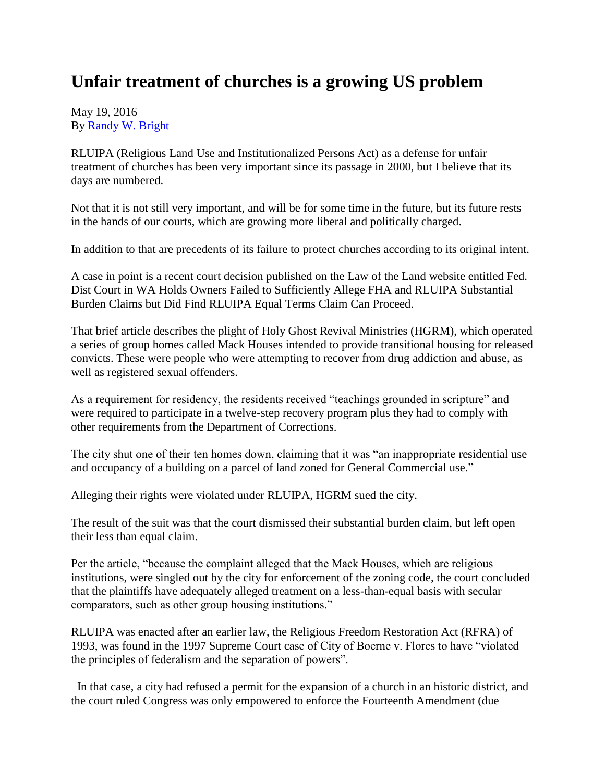## **Unfair treatment of churches is a growing US problem**

May 19, 2016 By [Randy W. Bright](http://www.tulsabeacon.com/author/slug-o6yd1v)

RLUIPA (Religious Land Use and Institutionalized Persons Act) as a defense for unfair treatment of churches has been very important since its passage in 2000, but I believe that its days are numbered.

Not that it is not still very important, and will be for some time in the future, but its future rests in the hands of our courts, which are growing more liberal and politically charged.

In addition to that are precedents of its failure to protect churches according to its original intent.

A case in point is a recent court decision published on the Law of the Land website entitled Fed. Dist Court in WA Holds Owners Failed to Sufficiently Allege FHA and RLUIPA Substantial Burden Claims but Did Find RLUIPA Equal Terms Claim Can Proceed.

That brief article describes the plight of Holy Ghost Revival Ministries (HGRM), which operated a series of group homes called Mack Houses intended to provide transitional housing for released convicts. These were people who were attempting to recover from drug addiction and abuse, as well as registered sexual offenders.

As a requirement for residency, the residents received "teachings grounded in scripture" and were required to participate in a twelve-step recovery program plus they had to comply with other requirements from the Department of Corrections.

The city shut one of their ten homes down, claiming that it was "an inappropriate residential use and occupancy of a building on a parcel of land zoned for General Commercial use."

Alleging their rights were violated under RLUIPA, HGRM sued the city.

The result of the suit was that the court dismissed their substantial burden claim, but left open their less than equal claim.

Per the article, "because the complaint alleged that the Mack Houses, which are religious institutions, were singled out by the city for enforcement of the zoning code, the court concluded that the plaintiffs have adequately alleged treatment on a less-than-equal basis with secular comparators, such as other group housing institutions."

RLUIPA was enacted after an earlier law, the Religious Freedom Restoration Act (RFRA) of 1993, was found in the 1997 Supreme Court case of City of Boerne v. Flores to have "violated the principles of federalism and the separation of powers".

In that case, a city had refused a permit for the expansion of a church in an historic district, and the court ruled Congress was only empowered to enforce the Fourteenth Amendment (due